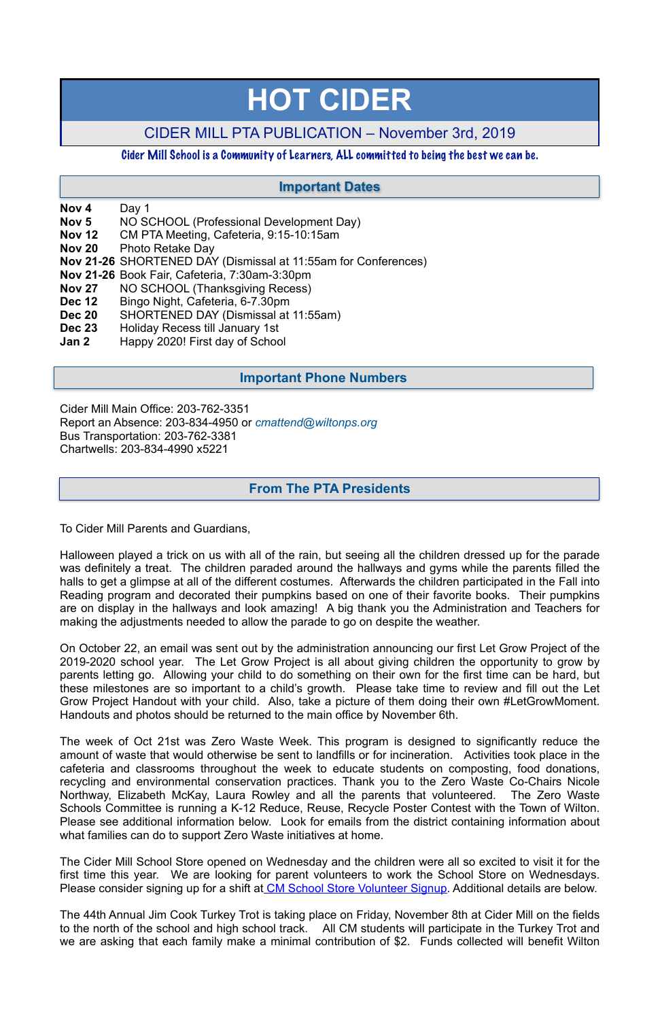**Nov 4** Day 1

- **Nov 5** NO SCHOOL (Professional Development Day)
- **Nov 12** CM PTA Meeting, Cafeteria, 9:15-10:15am
- **Nov 20** Photo Retake Day
- **Nov 21-26** SHORTENED DAY (Dismissal at 11:55am for Conferences)
- **Nov 21-26** Book Fair, Cafeteria, 7:30am-3:30pm
- **Nov 27** NO SCHOOL (Thanksgiving Recess)
- **Dec 12** Bingo Night, Cafeteria, 6-7.30pm
- **Dec 20** SHORTENED DAY (Dismissal at 11:55am)
- **Dec 23** Holiday Recess till January 1st
- **Jan 2** Happy 2020! First day of School

Cider Mill Main Office: 203-762-3351 Report an Absence: 203-834-4950 or *[cmattend@wiltonps.org](mailto:fallonk@wiltonps.org)* Bus Transportation: 203-762-3381 Chartwells: 203-834-4990 x5221

To Cider Mill Parents and Guardians,

Halloween played a trick on us with all of the rain, but seeing all the children dressed up for the parade was definitely a treat. The children paraded around the hallways and gyms while the parents filled the halls to get a glimpse at all of the different costumes. Afterwards the children participated in the Fall into Reading program and decorated their pumpkins based on one of their favorite books. Their pumpkins are on display in the hallways and look amazing! A big thank you the Administration and Teachers for making the adjustments needed to allow the parade to go on despite the weather.

The Cider Mill School Store opened on Wednesday and the children were all so excited to visit it for the first time this year. We are looking for parent volunteers to work the School Store on Wednesdays. Please consider signing up for a shift at [CM School Store Volunteer Signup.](http:signup.com/go/behqFBC) Additional details are below.

On October 22, an email was sent out by the administration announcing our first Let Grow Project of the 2019-2020 school year. The Let Grow Project is all about giving children the opportunity to grow by parents letting go. Allowing your child to do something on their own for the first time can be hard, but these milestones are so important to a child's growth. Please take time to review and fill out the Let Grow Project Handout with your child. Also, take a picture of them doing their own #LetGrowMoment. Handouts and photos should be returned to the main office by November 6th.

The week of Oct 21st was Zero Waste Week. This program is designed to significantly reduce the amount of waste that would otherwise be sent to landfills or for incineration. Activities took place in the cafeteria and classrooms throughout the week to educate students on composting, food donations, recycling and environmental conservation practices. Thank you to the Zero Waste Co-Chairs Nicole Northway, Elizabeth McKay, Laura Rowley and all the parents that volunteered. The Zero Waste Schools Committee is running a K-12 Reduce, Reuse, Recycle Poster Contest with the Town of Wilton. Please see additional information below. Look for emails from the district containing information about what families can do to support Zero Waste initiatives at home.

The 44th Annual Jim Cook Turkey Trot is taking place on Friday, November 8th at Cider Mill on the fields to the north of the school and high school track. All CM students will participate in the Turkey Trot and we are asking that each family make a minimal contribution of \$2. Funds collected will benefit Wilton

# **HOT CIDER**

## CIDER MILL PTA PUBLICATION – November 3rd, 2019

#### Cider Mill School is a Community of Learners, ALL committed to being the best we can be.

## **From The PTA Presidents**

## **Important Dates**

## **Important Phone Numbers**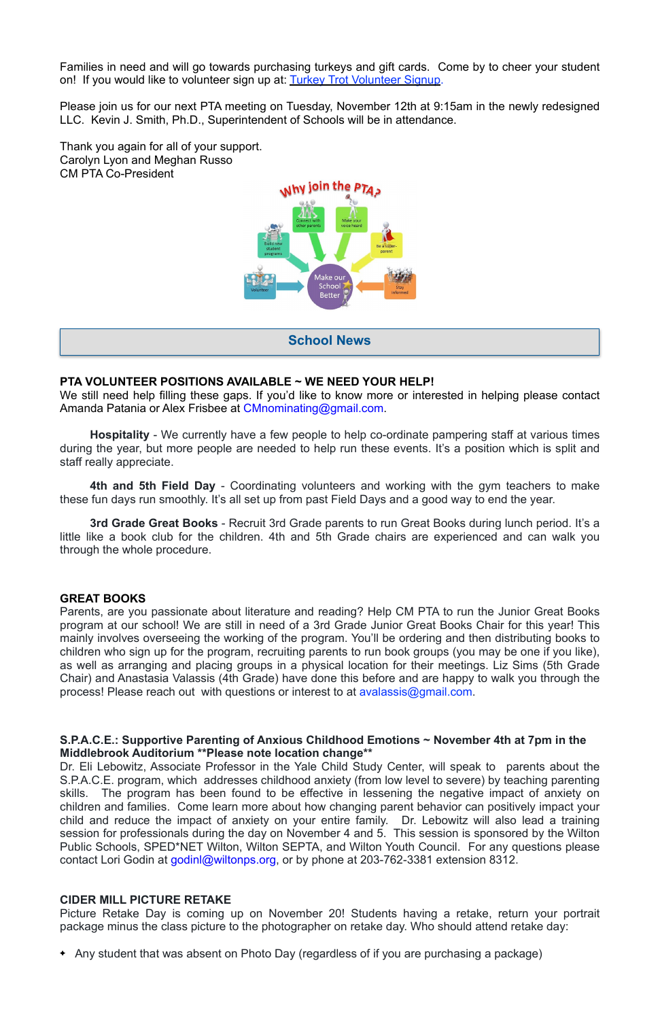Families in need and will go towards purchasing turkeys and gift cards. Come by to cheer your student on! If you would like to volunteer sign up at: [Turkey Trot Volunteer Signup.](https://www.signupgenius.com/go/20f0d4fa4ae23a4fd0-2019)

Please join us for our next PTA meeting on Tuesday, November 12th at 9:15am in the newly redesigned LLC. Kevin J. Smith, Ph.D., Superintendent of Schools will be in attendance.

Thank you again for all of your support. Carolyn Lyon and Meghan Russo CM PTA Co-President



#### **PTA VOLUNTEER POSITIONS AVAILABLE ~ WE NEED YOUR HELP!**

We still need help filling these gaps. If you'd like to know more or interested in helping please contact Amanda Patania or Alex Frisbee at [CMnominating@gmail.com](mailto:CMnominating@gmail.com).

**Hospitality** - We currently have a few people to help co-ordinate pampering staff at various times during the year, but more people are needed to help run these events. It's a position which is split and staff really appreciate.

**4th and 5th Field Day** - Coordinating volunteers and working with the gym teachers to make these fun days run smoothly. It's all set up from past Field Days and a good way to end the year.

Dr. Eli Lebowitz, Associate Professor in the Yale Child Study Center, will speak to parents about the S.P.A.C.E. program, which addresses childhood anxiety (from low level to severe) by teaching parenting skills. The program has been found to be effective in lessening the negative impact of anxiety on children and families. Come learn more about how changing parent behavior can positively impact your child and reduce the impact of anxiety on your entire family. Dr. Lebowitz will also lead a training session for professionals during the day on November 4 and 5. This session is sponsored by the Wilton Public Schools, SPED\*NET Wilton, Wilton SEPTA, and Wilton Youth Council. For any questions please contact Lori Godin at [godinl@wiltonps.org](mailto:godinl@wiltonps.org), or by phone at 203-762-3381 extension 8312.

**3rd Grade Great Books** - Recruit 3rd Grade parents to run Great Books during lunch period. It's a little like a book club for the children. 4th and 5th Grade chairs are experienced and can walk you through the whole procedure.

#### **GREAT BOOKS**

Parents, are you passionate about literature and reading? Help CM PTA to run the Junior Great Books program at our school! We are still in need of a 3rd Grade Junior Great Books Chair for this year! This mainly involves overseeing the working of the program. You'll be ordering and then distributing books to children who sign up for the program, recruiting parents to run book groups (you may be one if you like), as well as arranging and placing groups in a physical location for their meetings. Liz Sims (5th Grade Chair) and Anastasia Valassis (4th Grade) have done this before and are happy to walk you through the process! Please reach out with questions or interest to at [avalassis@gmail.com](mailto:avalassis@gmail.com).

**S.P.A.C.E.: Supportive Parenting of Anxious Childhood Emotions ~ November 4th at 7pm in the** 

#### **Middlebrook Auditorium \*\*Please note location change\*\***

#### **CIDER MILL PICTURE RETAKE**

Picture Retake Day is coming up on November 20! Students having a retake, return your portrait package minus the class picture to the photographer on retake day. Who should attend retake day:

Any student that was absent on Photo Day (regardless of if you are purchasing a package)

**School News**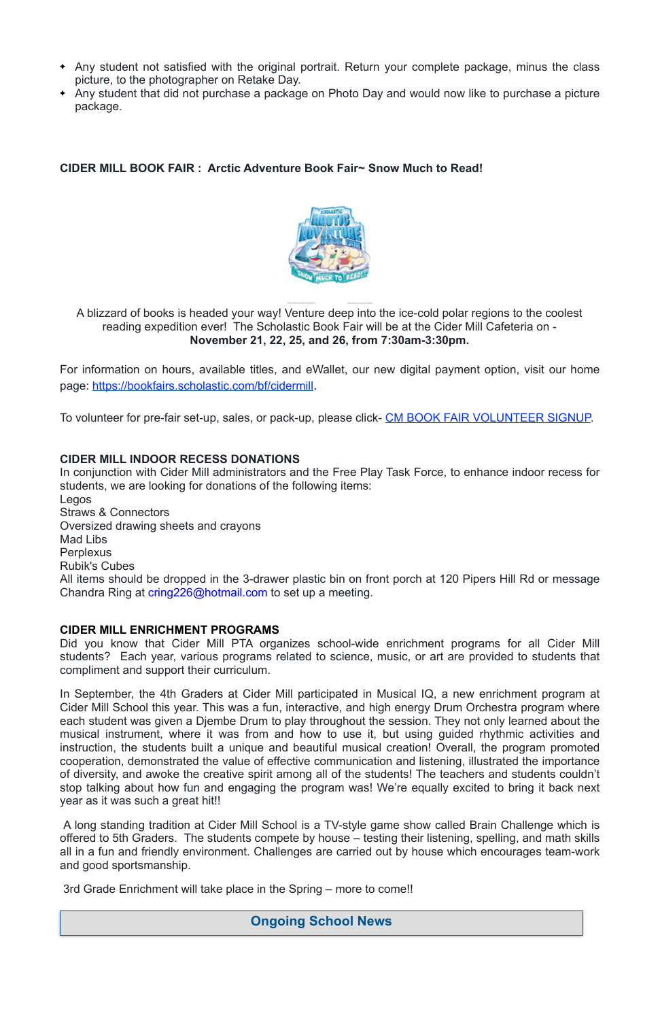- Any student not satisfied with the original portrait. Return your complete package, minus the class picture, to the photographer on Retake Day.
- Any student that did not purchase a package on Photo Day and would now like to purchase a picture package.

**CIDER MILL BOOK FAIR : Arctic Adventure Book Fair~ Snow Much to Read!** 



A blizzard of books is headed your way! Venture deep into the ice-cold polar regions to the coolest reading expedition ever! The Scholastic Book Fair will be at the Cider Mill Cafeteria on - **November 21, 22, 25, and 26, from 7:30am-3:30pm.** 

For information on hours, available titles, and eWallet, our new digital payment option, visit our home page: <https://bookfairs.scholastic.com/bf/cidermill>.

To volunteer for pre-fair set-up, sales, or pack-up, please click- [CM BOOK FAIR VOLUNTEER SIGNUP.](https://www.signupgenius.com/go/20F0D4AADAD22A7F94-volunteer)

#### **CIDER MILL INDOOR RECESS DONATIONS**

In conjunction with Cider Mill administrators and the Free Play Task Force, to enhance indoor recess for students, we are looking for donations of the following items: Legos Straws & Connectors Oversized drawing sheets and crayons Mad Libs **Perplexus** Rubik's Cubes All items should be dropped in the 3-drawer plastic bin on front porch at 120 Pipers Hill Rd or message Chandra Ring at [cring226@hotmail.com](mailto:cring226@hotmail.com) to set up a meeting.

In September, the 4th Graders at Cider Mill participated in Musical IQ, a new enrichment program at Cider Mill School this year. This was a fun, interactive, and high energy Drum Orchestra program where each student was given a Djembe Drum to play throughout the session. They not only learned about the musical instrument, where it was from and how to use it, but using guided rhythmic activities and instruction, the students built a unique and beautiful musical creation! Overall, the program promoted cooperation, demonstrated the value of effective communication and listening, illustrated the importance of diversity, and awoke the creative spirit among all of the students! The teachers and students couldn't stop talking about how fun and engaging the program was! We're equally excited to bring it back next year as it was such a great hit!!

#### **CIDER MILL ENRICHMENT PROGRAMS**

Did you know that Cider Mill PTA organizes school-wide enrichment programs for all Cider Mill students? Each year, various programs related to science, music, or art are provided to students that compliment and support their curriculum.

 A long standing tradition at Cider Mill School is a TV-style game show called Brain Challenge which is offered to 5th Graders. The students compete by house – testing their listening, spelling, and math skills all in a fun and friendly environment. Challenges are carried out by house which encourages team-work and good sportsmanship.

3rd Grade Enrichment will take place in the Spring – more to come!!

## **Ongoing School News**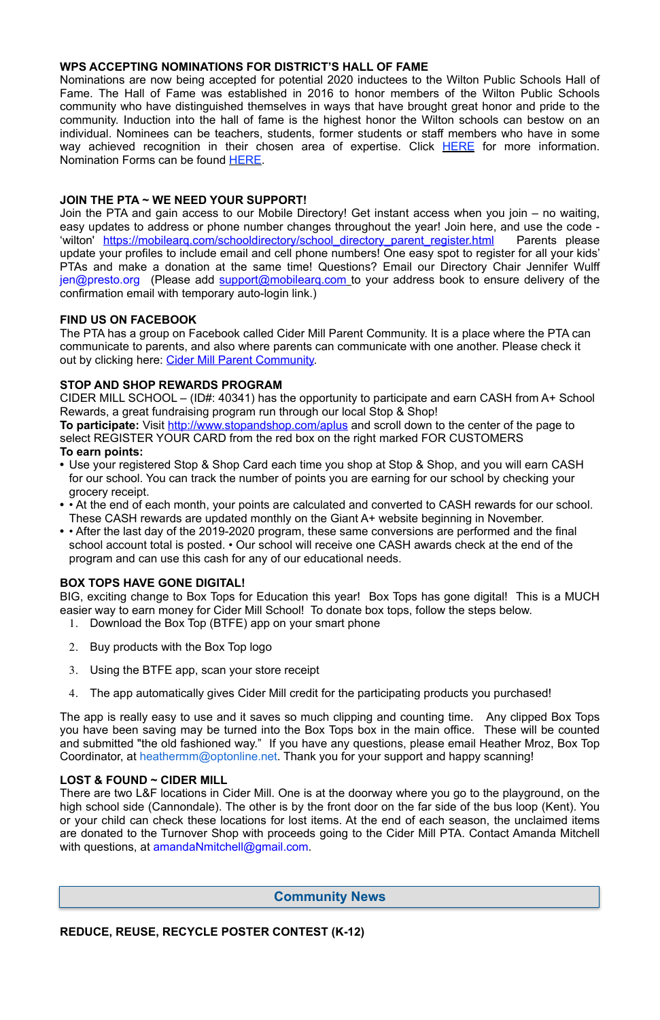#### **WPS ACCEPTING NOMINATIONS FOR DISTRICT'S HALL OF FAME**

Nominations are now being accepted for potential 2020 inductees to the Wilton Public Schools Hall of Fame. The Hall of Fame was established in 2016 to honor members of the Wilton Public Schools community who have distinguished themselves in ways that have brought great honor and pride to the community. Induction into the hall of fame is the highest honor the Wilton schools can bestow on an individual. Nominees can be teachers, students, former students or staff members who have in some way achieved recognition in their chosen area of expertise. Click **HERE** for more information. Nomination Forms can be found [HERE.](http://track.spe.schoolmessenger.com/f/a/3Yz71ntoAvhN2xGbOg7igg~~/AAAAAQA~/RgRfl0b4P0RSaHR0cHM6Ly9kcml2ZS5nb29nbGUuY29tL2ZpbGUvZC8xVzB2d0F6RExIRExGcFZ1c1Zjc3owclNYejBJWFMxZlMvdmlldz91c3A9c2hhcmluZ1cHc2Nob29sbUIKAAB4E7ZdJF1uw1ITd29vZnlAb3B0b25saW5lLm5ldFgEAAAAAQ~~)

The PTA has a group on Facebook called Cider Mill Parent Community. It is a place where the PTA can communicate to parents, and also where parents can communicate with one another. Please check it out by clicking here: [Cider Mill Parent Community.](https://www.facebook.com/groups/1168962513117647/)

## **JOIN THE PTA ~ WE NEED YOUR SUPPORT!**

Join the PTA and gain access to our Mobile Directory! Get instant access when you join – no waiting, easy updates to address or phone number changes throughout the year! Join here, and use the code - 'wilton' https://mobilearq.com/schooldirectory/school directory parent register.html Parents please update your profiles to include email and cell phone numbers! One easy spot to register for all your kids' PTAs and make a donation at the same time! Questions? Email our Directory Chair Jennifer Wulff [jen@presto.org](mailto:jen@presto.org) (Please add support@mobilearg.com to your address book to ensure delivery of the confirmation email with temporary auto-login link.)

#### **FIND US ON FACEBOOK**

## **STOP AND SHOP REWARDS PROGRAM**

CIDER MILL SCHOOL – (ID#: 40341) has the opportunity to participate and earn CASH from A+ School Rewards, a great fundraising program run through our local Stop & Shop!

There are two L&F locations in Cider Mill. One is at the doorway where you go to the playground, on the high school side (Cannondale). The other is by the front door on the far side of the bus loop (Kent). You or your child can check these locations for lost items. At the end of each season, the unclaimed items are donated to the Turnover Shop with proceeds going to the Cider Mill PTA. Contact Amanda Mitchell with questions, at [amandaNmitchell@gmail.com](mailto:amandaNmitchell@gmail.com).

**To participate:** Visit<http://www.stopandshop.com/aplus>and scroll down to the center of the page to select REGISTER YOUR CARD from the red box on the right marked FOR CUSTOMERS **To earn points:**

- **•** Use your registered Stop & Shop Card each time you shop at Stop & Shop, and you will earn CASH for our school. You can track the number of points you are earning for our school by checking your grocery receipt.
- **•** At the end of each month, your points are calculated and converted to CASH rewards for our school. These CASH rewards are updated monthly on the Giant A+ website beginning in November.
- **•** After the last day of the 2019-2020 program, these same conversions are performed and the final school account total is posted. • Our school will receive one CASH awards check at the end of the program and can use this cash for any of our educational needs.

## **BOX TOPS HAVE GONE DIGITAL!**

BIG, exciting change to Box Tops for Education this year! Box Tops has gone digital! This is a MUCH easier way to earn money for Cider Mill School! To donate box tops, follow the steps below.

- 1. Download the Box Top (BTFE) app on your smart phone
- 2. Buy products with the Box Top logo
- 3. Using the BTFE app, scan your store receipt
- 4. The app automatically gives Cider Mill credit for the participating products you purchased!

The app is really easy to use and it saves so much clipping and counting time. Any clipped Box Tops you have been saving may be turned into the Box Tops box in the main office. These will be counted and submitted "the old fashioned way." If you have any questions, please email Heather Mroz, Box Top Coordinator, at [heathermm@optonline.net.](mailto:heathermm@optonline.net) Thank you for your support and happy scanning!

#### **LOST & FOUND ~ CIDER MILL**

**REDUCE, REUSE, RECYCLE POSTER CONTEST (K-12)**

#### **Community News**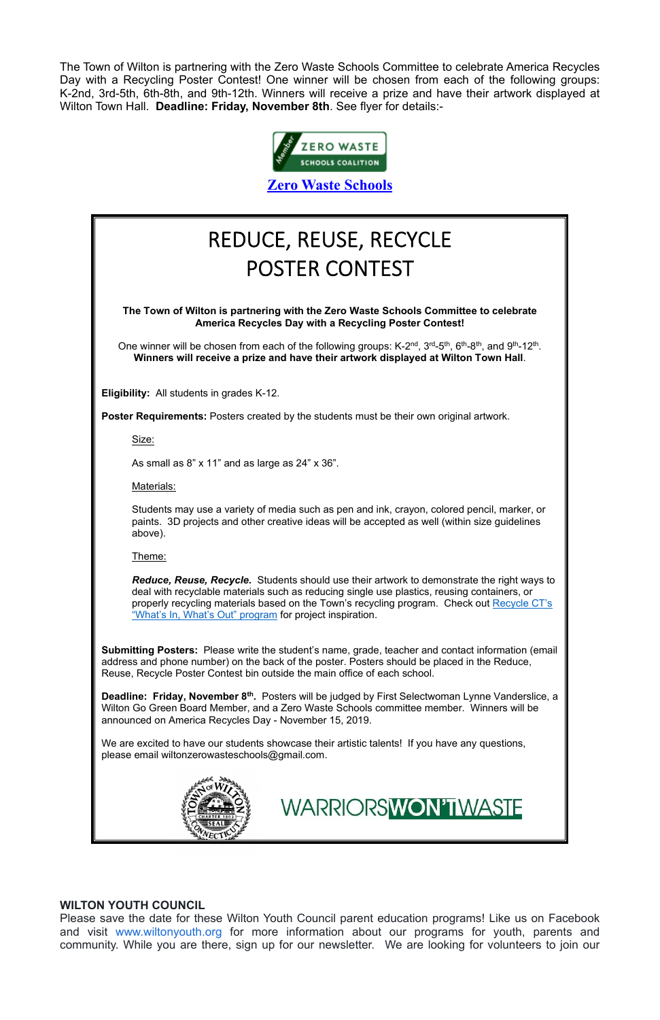The Town of Wilton is partnering with the Zero Waste Schools Committee to celebrate America Recycles Day with a Recycling Poster Contest! One winner will be chosen from each of the following groups: K-2nd, 3rd-5th, 6th-8th, and 9th-12th. Winners will receive a prize and have their artwork displayed at Wilton Town Hall. **Deadline: Friday, November 8th**. See flyer for details:-



**[Zero Waste Schools](https://sites.google.com/wiltonps.org/wiltonzerowaste/home)**

#### **WILTON YOUTH COUNCIL**

One winner will be chosen from each of the following groups: K-2<sup>nd</sup>, 3<sup>rd</sup>-5<sup>th</sup>, 6<sup>th</sup>-8<sup>th</sup>, and 9<sup>th</sup>-12<sup>th</sup>. **Winners will receive a prize and have their artwork displayed at Wilton Town Hall**.

Please save the date for these Wilton Youth Council parent education programs! Like us on Facebook and visit [www.wiltonyouth.org](http://www.wiltonyouth.org/) for more information about our programs for youth, parents and community. While you are there, sign up for our newsletter. We are looking for volunteers to join our

## REDUCE, REUSE, RECYCLE POSTER CONTEST

**The Town of Wilton is partnering with the Zero Waste Schools Committee to celebrate America Recycles Day with a Recycling Poster Contest!**

**Eligibility:** All students in grades K-12.

**Poster Requirements:** Posters created by the students must be their own original artwork.

Size:

As small as 8" x 11" and as large as 24" x 36".

Materials:

Students may use a variety of media such as pen and ink, crayon, colored pencil, marker, or paints. 3D projects and other creative ideas will be accepted as well (within size guidelines above).

Theme:

*Reduce, Reuse, Recycle.* Students should use their artwork to demonstrate the right ways to deal with recyclable materials such as reducing single use plastics, reusing containers, or properly recycling materials based on the Town's recycling program. Check out Recycle CT's "What's In, What's Out" program for project inspiration.

**Submitting Posters:** Please write the student's name, grade, teacher and contact information (email address and phone number) on the back of the poster. Posters should be placed in the Reduce, Reuse, Recycle Poster Contest bin outside the main office of each school.

**Deadline: Friday, November 8th.** Posters will be judged by First Selectwoman Lynne Vanderslice, a Wilton Go Green Board Member, and a Zero Waste Schools committee member. Winners will be announced on America Recycles Day - November 15, 2019.

We are excited to have our students showcase their artistic talents! If you have any questions,

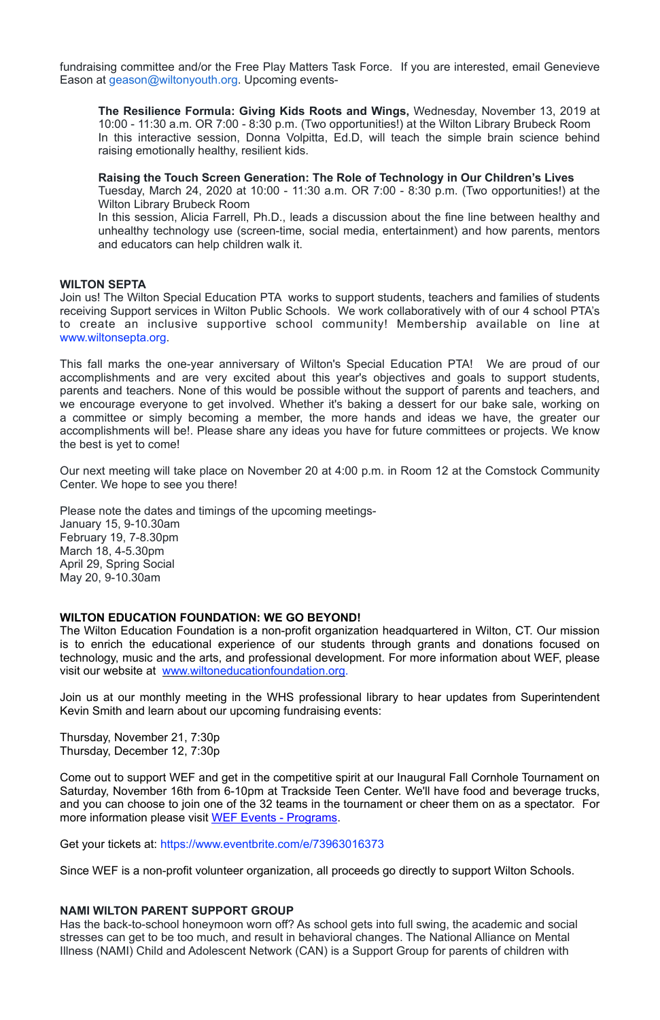fundraising committee and/or the Free Play Matters Task Force. If you are interested, email Genevieve Eason at [geason@wiltonyouth.org](mailto:geason@wiltonyouth.org). Upcoming events-

**The Resilience Formula: Giving Kids Roots and Wings,** Wednesday, November 13, 2019 at 10:00 - 11:30 a.m. OR 7:00 - 8:30 p.m. (Two opportunities!) at the Wilton Library Brubeck Room In this interactive session, Donna Volpitta, Ed.D, will teach the simple brain science behind raising emotionally healthy, resilient kids.

**Raising the Touch Screen Generation: The Role of Technology in Our Children's Lives**  Tuesday, March 24, 2020 at 10:00 - 11:30 a.m. OR 7:00 - 8:30 p.m. (Two opportunities!) at the Wilton Library Brubeck Room

In this session, Alicia Farrell, Ph.D., leads a discussion about the fine line between healthy and unhealthy technology use (screen-time, social media, entertainment) and how parents, mentors and educators can help children walk it.

#### **WILTON SEPTA**

Join us! The Wilton Special Education PTA works to support students, teachers and families of students receiving Support services in Wilton Public Schools. We work collaboratively with of our 4 school PTA's to create an inclusive supportive school community! Membership available on line at [www.wiltonsepta.org.](http://www.wiltonsepta.org/)

This fall marks the one-year anniversary of Wilton's Special Education PTA! We are proud of our accomplishments and are very excited about this year's objectives and goals to support students, parents and teachers. None of this would be possible without the support of parents and teachers, and we encourage everyone to get involved. Whether it's baking a dessert for our bake sale, working on a committee or simply becoming a member, the more hands and ideas we have, the greater our accomplishments will be!. Please share any ideas you have for future committees or projects. We know the best is yet to come!

Our next meeting will take place on November 20 at 4:00 p.m. in Room 12 at the Comstock Community Center. We hope to see you there!

Please note the dates and timings of the upcoming meetings-January 15, 9-10.30am February 19, 7-8.30pm March 18, 4-5.30pm April 29, Spring Social May 20, 9-10.30am

#### **WILTON EDUCATION FOUNDATION: WE GO BEYOND!**

The Wilton Education Foundation is a non-profit organization headquartered in Wilton, CT. Our mission is to enrich the educational experience of our students through grants and donations focused on technology, music and the arts, and professional development. For more information about WEF, please visit our website at [www.wiltoneducationfoundation.org](http://www.wiltoneducationfoundation.org/).

Join us at our monthly meeting in the WHS professional library to hear updates from Superintendent Kevin Smith and learn about our upcoming fundraising events:

[Thursday, November 21, 7:30p](x-apple-data-detectors://3) 

Thursday, December 12, 7:30p

Come out to support WEF and get in the competitive spirit at our Inaugural Fall Cornhole Tournament on Saturday, November 16th from 6-10pm at Trackside Teen Center. We'll have food and beverage trucks, and you can choose to join one of the 32 teams in the tournament or cheer them on as a spectator. For more information please visit [WEF Events - Programs.](https://wiltoneducationfoundation.org/events-programs/fall-cornhole-tournament)

Get your tickets at: <https://www.eventbrite.com/e/73963016373>

Since WEF is a non-profit volunteer organization, all proceeds go directly to support Wilton Schools.

#### **NAMI WILTON PARENT SUPPORT GROUP**

Has the back-to-school honeymoon worn off? As school gets into full swing, the academic and social stresses can get to be too much, and result in behavioral changes. The National Alliance on Mental Illness (NAMI) Child and Adolescent Network (CAN) is a Support Group for parents of children with